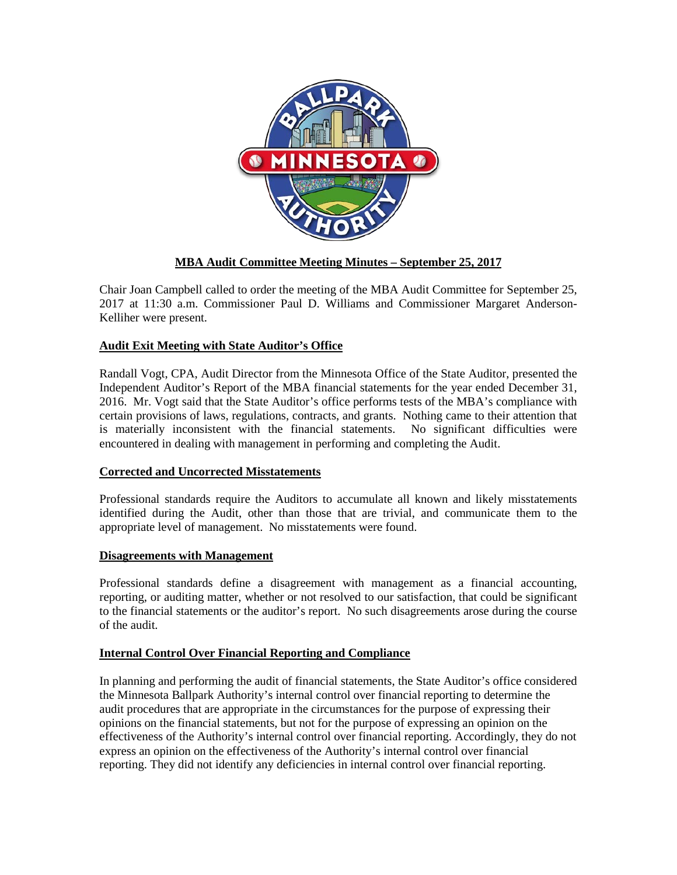

# **MBA Audit Committee Meeting Minutes – September 25, 2017**

Chair Joan Campbell called to order the meeting of the MBA Audit Committee for September 25, 2017 at 11:30 a.m. Commissioner Paul D. Williams and Commissioner Margaret Anderson-Kelliher were present.

## **Audit Exit Meeting with State Auditor's Office**

Randall Vogt, CPA, Audit Director from the Minnesota Office of the State Auditor, presented the Independent Auditor's Report of the MBA financial statements for the year ended December 31, 2016. Mr. Vogt said that the State Auditor's office performs tests of the MBA's compliance with certain provisions of laws, regulations, contracts, and grants. Nothing came to their attention that is materially inconsistent with the financial statements. No significant difficulties were encountered in dealing with management in performing and completing the Audit.

## **Corrected and Uncorrected Misstatements**

Professional standards require the Auditors to accumulate all known and likely misstatements identified during the Audit, other than those that are trivial, and communicate them to the appropriate level of management. No misstatements were found.

### **Disagreements with Management**

Professional standards define a disagreement with management as a financial accounting, reporting, or auditing matter, whether or not resolved to our satisfaction, that could be significant to the financial statements or the auditor's report. No such disagreements arose during the course of the audit.

## **Internal Control Over Financial Reporting and Compliance**

In planning and performing the audit of financial statements, the State Auditor's office considered the Minnesota Ballpark Authority's internal control over financial reporting to determine the audit procedures that are appropriate in the circumstances for the purpose of expressing their opinions on the financial statements, but not for the purpose of expressing an opinion on the effectiveness of the Authority's internal control over financial reporting. Accordingly, they do not express an opinion on the effectiveness of the Authority's internal control over financial reporting. They did not identify any deficiencies in internal control over financial reporting.